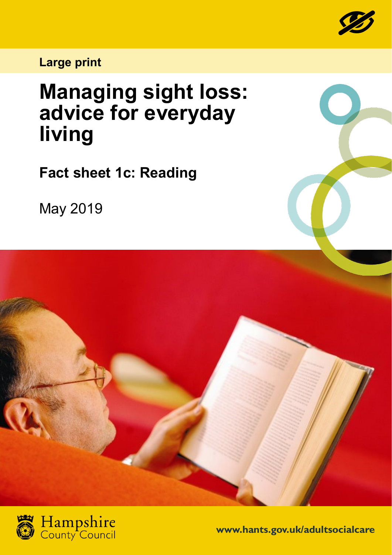

## **Large print**

## **Managing sight loss: advice for everyday living**

**Fact sheet 1c: Reading**

May 2019





**www.hants.gov.uk/adultsocialcare**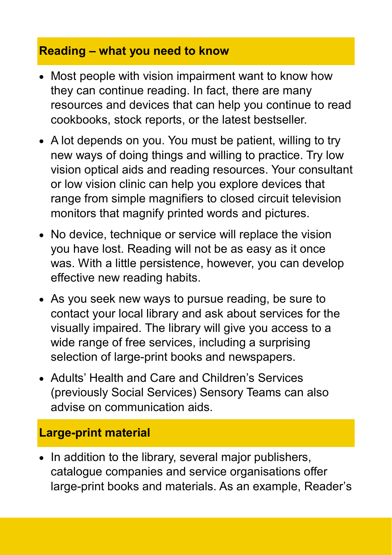## **Reading – what you need to know**

- Most people with vision impairment want to know how they can continue reading. In fact, there are many resources and devices that can help you continue to read cookbooks, stock reports, or the latest bestseller.
- A lot depends on you. You must be patient, willing to try new ways of doing things and willing to practice. Try low vision optical aids and reading resources. Your consultant or low vision clinic can help you explore devices that range from simple magnifiers to closed circuit television monitors that magnify printed words and pictures.
- No device, technique or service will replace the vision you have lost. Reading will not be as easy as it once was. With a little persistence, however, you can develop effective new reading habits.
- As you seek new ways to pursue reading, be sure to contact your local library and ask about services for the visually impaired. The library will give you access to a wide range of free services, including a surprising selection of large-print books and newspapers.
- Adults' Health and Care and Children's Services (previously Social Services) Sensory Teams can also advise on communication aids.

## **Large-print material**

• In addition to the library, several major publishers, catalogue companies and service organisations offer large-print books and materials. As an example, Reader's